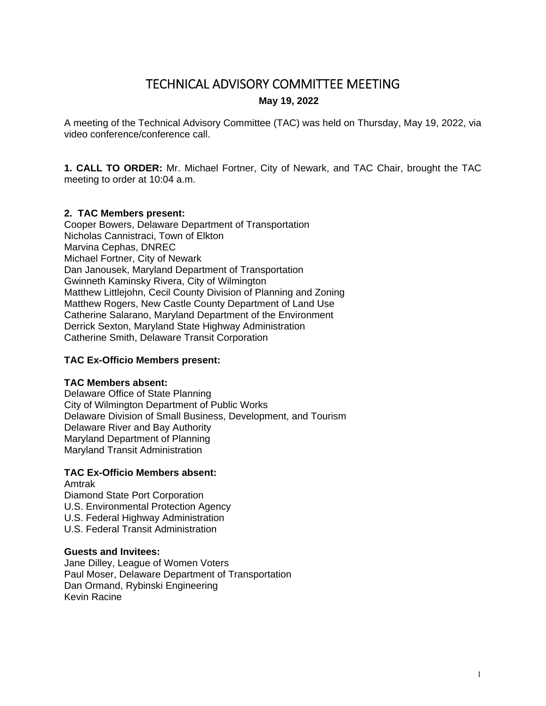# TECHNICAL ADVISORY COMMITTEE MEETING

# **May 19, 2022**

A meeting of the Technical Advisory Committee (TAC) was held on Thursday, May 19, 2022, via video conference/conference call.

**1. CALL TO ORDER:** Mr. Michael Fortner, City of Newark, and TAC Chair, brought the TAC meeting to order at 10:04 a.m.

# **2. TAC Members present:**

Cooper Bowers, Delaware Department of Transportation Nicholas Cannistraci, Town of Elkton Marvina Cephas, DNREC Michael Fortner, City of Newark Dan Janousek, Maryland Department of Transportation Gwinneth Kaminsky Rivera, City of Wilmington Matthew Littlejohn, Cecil County Division of Planning and Zoning Matthew Rogers, New Castle County Department of Land Use Catherine Salarano, Maryland Department of the Environment Derrick Sexton, Maryland State Highway Administration Catherine Smith, Delaware Transit Corporation

#### **TAC Ex-Officio Members present:**

#### **TAC Members absent:**

Delaware Office of State Planning City of Wilmington Department of Public Works Delaware Division of Small Business, Development, and Tourism Delaware River and Bay Authority Maryland Department of Planning Maryland Transit Administration

# **TAC Ex-Officio Members absent:**

# Amtrak

Diamond State Port Corporation

- U.S. Environmental Protection Agency
- U.S. Federal Highway Administration
- U.S. Federal Transit Administration

# **Guests and Invitees:**

Jane Dilley, League of Women Voters Paul Moser, Delaware Department of Transportation Dan Ormand, Rybinski Engineering Kevin Racine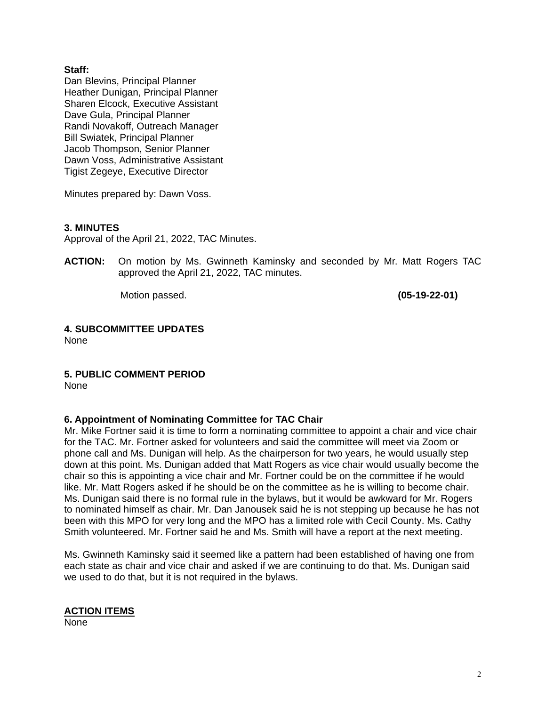#### **Staff:**

Dan Blevins, Principal Planner Heather Dunigan, Principal Planner Sharen Elcock, Executive Assistant Dave Gula, Principal Planner Randi Novakoff, Outreach Manager Bill Swiatek, Principal Planner Jacob Thompson, Senior Planner Dawn Voss, Administrative Assistant Tigist Zegeye, Executive Director

Minutes prepared by: Dawn Voss.

#### **3. MINUTES**

Approval of the April 21, 2022, TAC Minutes.

**ACTION:** On motion by Ms. Gwinneth Kaminsky and seconded by Mr. Matt Rogers TAC approved the April 21, 2022, TAC minutes.

Motion passed. **(05-19-22-01)** 

# **4. SUBCOMMITTEE UPDATES**

None

# **5. PUBLIC COMMENT PERIOD**

None

# **6. Appointment of Nominating Committee for TAC Chair**

Mr. Mike Fortner said it is time to form a nominating committee to appoint a chair and vice chair for the TAC. Mr. Fortner asked for volunteers and said the committee will meet via Zoom or phone call and Ms. Dunigan will help. As the chairperson for two years, he would usually step down at this point. Ms. Dunigan added that Matt Rogers as vice chair would usually become the chair so this is appointing a vice chair and Mr. Fortner could be on the committee if he would like. Mr. Matt Rogers asked if he should be on the committee as he is willing to become chair. Ms. Dunigan said there is no formal rule in the bylaws, but it would be awkward for Mr. Rogers to nominated himself as chair. Mr. Dan Janousek said he is not stepping up because he has not been with this MPO for very long and the MPO has a limited role with Cecil County. Ms. Cathy Smith volunteered. Mr. Fortner said he and Ms. Smith will have a report at the next meeting.

Ms. Gwinneth Kaminsky said it seemed like a pattern had been established of having one from each state as chair and vice chair and asked if we are continuing to do that. Ms. Dunigan said we used to do that, but it is not required in the bylaws.

# **ACTION ITEMS**

None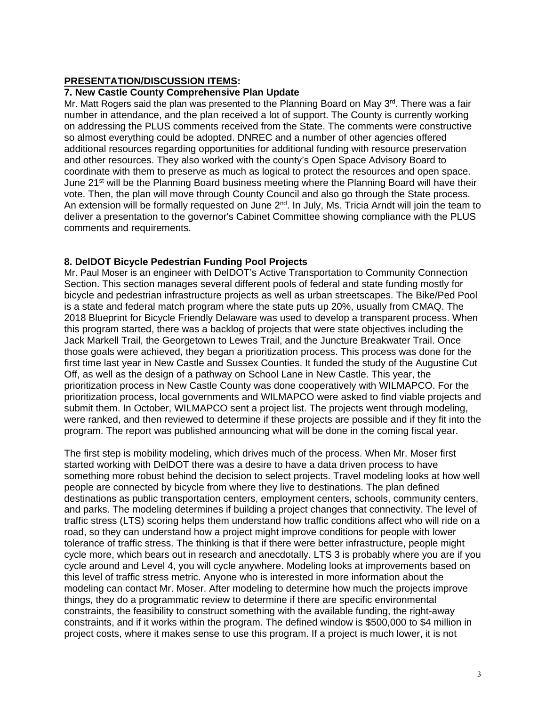#### **PRESENTATION/DISCUSSION ITEMS:**

#### **7. New Castle County Comprehensive Plan Update**

Mr. Matt Rogers said the plan was presented to the Planning Board on May 3rd. There was a fair number in attendance, and the plan received a lot of support. The County is currently working on addressing the PLUS comments received from the State. The comments were constructive so almost everything could be adopted. DNREC and a number of other agencies offered additional resources regarding opportunities for additional funding with resource preservation and other resources. They also worked with the county's Open Space Advisory Board to coordinate with them to preserve as much as logical to protect the resources and open space. June  $21<sup>st</sup>$  will be the Planning Board business meeting where the Planning Board will have their vote. Then, the plan will move through County Council and also go through the State process. An extension will be formally requested on June  $2<sup>nd</sup>$ . In July, Ms. Tricia Arndt will join the team to deliver a presentation to the governor's Cabinet Committee showing compliance with the PLUS comments and requirements.

#### **8. DelDOT Bicycle Pedestrian Funding Pool Projects**

Mr. Paul Moser is an engineer with DelDOT's Active Transportation to Community Connection Section. This section manages several different pools of federal and state funding mostly for bicycle and pedestrian infrastructure projects as well as urban streetscapes. The Bike/Ped Pool is a state and federal match program where the state puts up 20%, usually from CMAQ. The 2018 Blueprint for Bicycle Friendly Delaware was used to develop a transparent process. When this program started, there was a backlog of projects that were state objectives including the Jack Markell Trail, the Georgetown to Lewes Trail, and the Juncture Breakwater Trail. Once those goals were achieved, they began a prioritization process. This process was done for the first time last year in New Castle and Sussex Counties. It funded the study of the Augustine Cut Off, as well as the design of a pathway on School Lane in New Castle. This year, the prioritization process in New Castle County was done cooperatively with WILMAPCO. For the prioritization process, local governments and WILMAPCO were asked to find viable projects and submit them. In October, WILMAPCO sent a project list. The projects went through modeling, were ranked, and then reviewed to determine if these projects are possible and if they fit into the program. The report was published announcing what will be done in the coming fiscal year.

The first step is mobility modeling, which drives much of the process. When Mr. Moser first started working with DelDOT there was a desire to have a data driven process to have something more robust behind the decision to select projects. Travel modeling looks at how well people are connected by bicycle from where they live to destinations. The plan defined destinations as public transportation centers, employment centers, schools, community centers, and parks. The modeling determines if building a project changes that connectivity. The level of traffic stress (LTS) scoring helps them understand how traffic conditions affect who will ride on a road, so they can understand how a project might improve conditions for people with lower tolerance of traffic stress. The thinking is that if there were better infrastructure, people might cycle more, which bears out in research and anecdotally. LTS 3 is probably where you are if you cycle around and Level 4, you will cycle anywhere. Modeling looks at improvements based on this level of traffic stress metric. Anyone who is interested in more information about the modeling can contact Mr. Moser. After modeling to determine how much the projects improve things, they do a programmatic review to determine if there are specific environmental constraints, the feasibility to construct something with the available funding, the right-away constraints, and if it works within the program. The defined window is \$500,000 to \$4 million in project costs, where it makes sense to use this program. If a project is much lower, it is not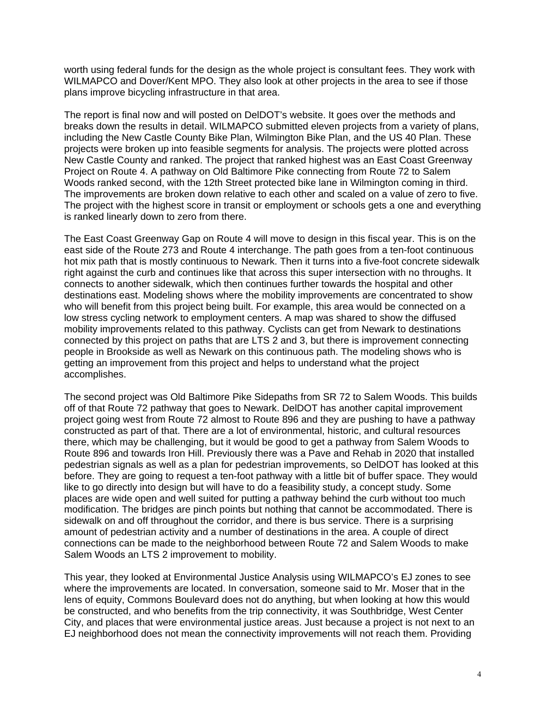worth using federal funds for the design as the whole project is consultant fees. They work with WILMAPCO and Dover/Kent MPO. They also look at other projects in the area to see if those plans improve bicycling infrastructure in that area.

The report is final now and will posted on DelDOT's website. It goes over the methods and breaks down the results in detail. WILMAPCO submitted eleven projects from a variety of plans, including the New Castle County Bike Plan, Wilmington Bike Plan, and the US 40 Plan. These projects were broken up into feasible segments for analysis. The projects were plotted across New Castle County and ranked. The project that ranked highest was an East Coast Greenway Project on Route 4. A pathway on Old Baltimore Pike connecting from Route 72 to Salem Woods ranked second, with the 12th Street protected bike lane in Wilmington coming in third. The improvements are broken down relative to each other and scaled on a value of zero to five. The project with the highest score in transit or employment or schools gets a one and everything is ranked linearly down to zero from there.

The East Coast Greenway Gap on Route 4 will move to design in this fiscal year. This is on the east side of the Route 273 and Route 4 interchange. The path goes from a ten-foot continuous hot mix path that is mostly continuous to Newark. Then it turns into a five-foot concrete sidewalk right against the curb and continues like that across this super intersection with no throughs. It connects to another sidewalk, which then continues further towards the hospital and other destinations east. Modeling shows where the mobility improvements are concentrated to show who will benefit from this project being built. For example, this area would be connected on a low stress cycling network to employment centers. A map was shared to show the diffused mobility improvements related to this pathway. Cyclists can get from Newark to destinations connected by this project on paths that are LTS 2 and 3, but there is improvement connecting people in Brookside as well as Newark on this continuous path. The modeling shows who is getting an improvement from this project and helps to understand what the project accomplishes.

The second project was Old Baltimore Pike Sidepaths from SR 72 to Salem Woods. This builds off of that Route 72 pathway that goes to Newark. DelDOT has another capital improvement project going west from Route 72 almost to Route 896 and they are pushing to have a pathway constructed as part of that. There are a lot of environmental, historic, and cultural resources there, which may be challenging, but it would be good to get a pathway from Salem Woods to Route 896 and towards Iron Hill. Previously there was a Pave and Rehab in 2020 that installed pedestrian signals as well as a plan for pedestrian improvements, so DelDOT has looked at this before. They are going to request a ten-foot pathway with a little bit of buffer space. They would like to go directly into design but will have to do a feasibility study, a concept study. Some places are wide open and well suited for putting a pathway behind the curb without too much modification. The bridges are pinch points but nothing that cannot be accommodated. There is sidewalk on and off throughout the corridor, and there is bus service. There is a surprising amount of pedestrian activity and a number of destinations in the area. A couple of direct connections can be made to the neighborhood between Route 72 and Salem Woods to make Salem Woods an LTS 2 improvement to mobility.

This year, they looked at Environmental Justice Analysis using WILMAPCO's EJ zones to see where the improvements are located. In conversation, someone said to Mr. Moser that in the lens of equity, Commons Boulevard does not do anything, but when looking at how this would be constructed, and who benefits from the trip connectivity, it was Southbridge, West Center City, and places that were environmental justice areas. Just because a project is not next to an EJ neighborhood does not mean the connectivity improvements will not reach them. Providing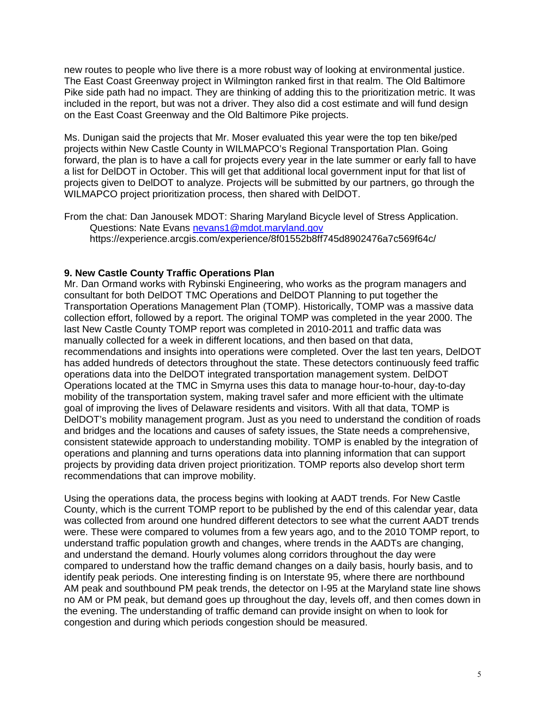new routes to people who live there is a more robust way of looking at environmental justice. The East Coast Greenway project in Wilmington ranked first in that realm. The Old Baltimore Pike side path had no impact. They are thinking of adding this to the prioritization metric. It was included in the report, but was not a driver. They also did a cost estimate and will fund design on the East Coast Greenway and the Old Baltimore Pike projects.

Ms. Dunigan said the projects that Mr. Moser evaluated this year were the top ten bike/ped projects within New Castle County in WILMAPCO's Regional Transportation Plan. Going forward, the plan is to have a call for projects every year in the late summer or early fall to have a list for DelDOT in October. This will get that additional local government input for that list of projects given to DelDOT to analyze. Projects will be submitted by our partners, go through the WILMAPCO project prioritization process, then shared with DelDOT.

From the chat: Dan Janousek MDOT: Sharing Maryland Bicycle level of Stress Application. Questions: Nate Evans nevans1@mdot.maryland.gov https://experience.arcgis.com/experience/8f01552b8ff745d8902476a7c569f64c/

# **9. New Castle County Traffic Operations Plan**

Mr. Dan Ormand works with Rybinski Engineering, who works as the program managers and consultant for both DelDOT TMC Operations and DelDOT Planning to put together the Transportation Operations Management Plan (TOMP). Historically, TOMP was a massive data collection effort, followed by a report. The original TOMP was completed in the year 2000. The last New Castle County TOMP report was completed in 2010-2011 and traffic data was manually collected for a week in different locations, and then based on that data, recommendations and insights into operations were completed. Over the last ten years, DelDOT has added hundreds of detectors throughout the state. These detectors continuously feed traffic operations data into the DelDOT integrated transportation management system. DelDOT Operations located at the TMC in Smyrna uses this data to manage hour-to-hour, day-to-day mobility of the transportation system, making travel safer and more efficient with the ultimate goal of improving the lives of Delaware residents and visitors. With all that data, TOMP is DelDOT's mobility management program. Just as you need to understand the condition of roads and bridges and the locations and causes of safety issues, the State needs a comprehensive, consistent statewide approach to understanding mobility. TOMP is enabled by the integration of operations and planning and turns operations data into planning information that can support projects by providing data driven project prioritization. TOMP reports also develop short term recommendations that can improve mobility.

Using the operations data, the process begins with looking at AADT trends. For New Castle County, which is the current TOMP report to be published by the end of this calendar year, data was collected from around one hundred different detectors to see what the current AADT trends were. These were compared to volumes from a few years ago, and to the 2010 TOMP report, to understand traffic population growth and changes, where trends in the AADTs are changing, and understand the demand. Hourly volumes along corridors throughout the day were compared to understand how the traffic demand changes on a daily basis, hourly basis, and to identify peak periods. One interesting finding is on Interstate 95, where there are northbound AM peak and southbound PM peak trends, the detector on I-95 at the Maryland state line shows no AM or PM peak, but demand goes up throughout the day, levels off, and then comes down in the evening. The understanding of traffic demand can provide insight on when to look for congestion and during which periods congestion should be measured.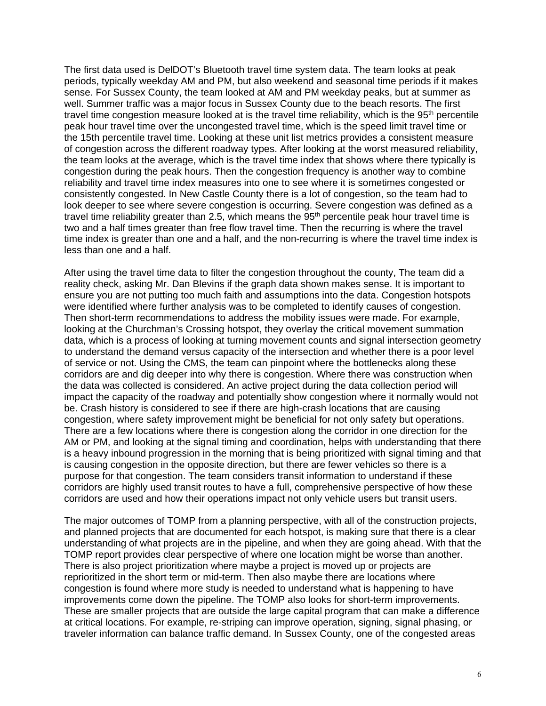The first data used is DelDOT's Bluetooth travel time system data. The team looks at peak periods, typically weekday AM and PM, but also weekend and seasonal time periods if it makes sense. For Sussex County, the team looked at AM and PM weekday peaks, but at summer as well. Summer traffic was a major focus in Sussex County due to the beach resorts. The first travel time congestion measure looked at is the travel time reliability, which is the 95<sup>th</sup> percentile peak hour travel time over the uncongested travel time, which is the speed limit travel time or the 15th percentile travel time. Looking at these unit list metrics provides a consistent measure of congestion across the different roadway types. After looking at the worst measured reliability, the team looks at the average, which is the travel time index that shows where there typically is congestion during the peak hours. Then the congestion frequency is another way to combine reliability and travel time index measures into one to see where it is sometimes congested or consistently congested. In New Castle County there is a lot of congestion, so the team had to look deeper to see where severe congestion is occurring. Severe congestion was defined as a travel time reliability greater than 2.5, which means the 95<sup>th</sup> percentile peak hour travel time is two and a half times greater than free flow travel time. Then the recurring is where the travel time index is greater than one and a half, and the non-recurring is where the travel time index is less than one and a half.

After using the travel time data to filter the congestion throughout the county, The team did a reality check, asking Mr. Dan Blevins if the graph data shown makes sense. It is important to ensure you are not putting too much faith and assumptions into the data. Congestion hotspots were identified where further analysis was to be completed to identify causes of congestion. Then short-term recommendations to address the mobility issues were made. For example, looking at the Churchman's Crossing hotspot, they overlay the critical movement summation data, which is a process of looking at turning movement counts and signal intersection geometry to understand the demand versus capacity of the intersection and whether there is a poor level of service or not. Using the CMS, the team can pinpoint where the bottlenecks along these corridors are and dig deeper into why there is congestion. Where there was construction when the data was collected is considered. An active project during the data collection period will impact the capacity of the roadway and potentially show congestion where it normally would not be. Crash history is considered to see if there are high-crash locations that are causing congestion, where safety improvement might be beneficial for not only safety but operations. There are a few locations where there is congestion along the corridor in one direction for the AM or PM, and looking at the signal timing and coordination, helps with understanding that there is a heavy inbound progression in the morning that is being prioritized with signal timing and that is causing congestion in the opposite direction, but there are fewer vehicles so there is a purpose for that congestion. The team considers transit information to understand if these corridors are highly used transit routes to have a full, comprehensive perspective of how these corridors are used and how their operations impact not only vehicle users but transit users.

The major outcomes of TOMP from a planning perspective, with all of the construction projects, and planned projects that are documented for each hotspot, is making sure that there is a clear understanding of what projects are in the pipeline, and when they are going ahead. With that the TOMP report provides clear perspective of where one location might be worse than another. There is also project prioritization where maybe a project is moved up or projects are reprioritized in the short term or mid-term. Then also maybe there are locations where congestion is found where more study is needed to understand what is happening to have improvements come down the pipeline. The TOMP also looks for short-term improvements. These are smaller projects that are outside the large capital program that can make a difference at critical locations. For example, re-striping can improve operation, signing, signal phasing, or traveler information can balance traffic demand. In Sussex County, one of the congested areas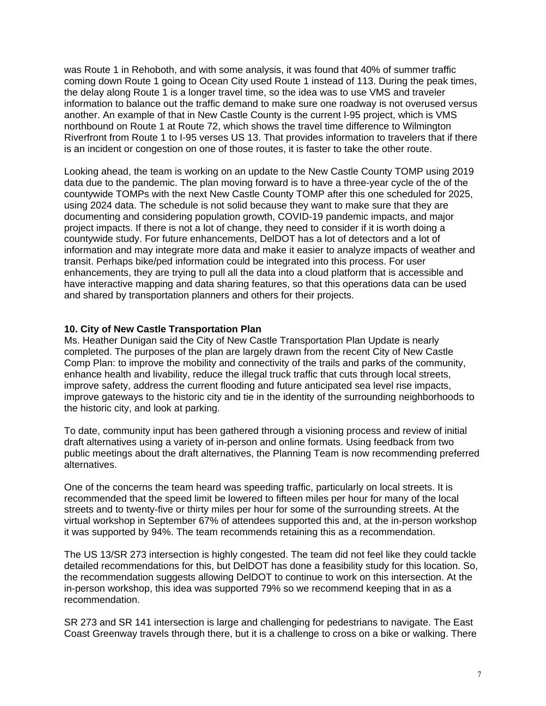was Route 1 in Rehoboth, and with some analysis, it was found that 40% of summer traffic coming down Route 1 going to Ocean City used Route 1 instead of 113. During the peak times, the delay along Route 1 is a longer travel time, so the idea was to use VMS and traveler information to balance out the traffic demand to make sure one roadway is not overused versus another. An example of that in New Castle County is the current I-95 project, which is VMS northbound on Route 1 at Route 72, which shows the travel time difference to Wilmington Riverfront from Route 1 to I-95 verses US 13. That provides information to travelers that if there is an incident or congestion on one of those routes, it is faster to take the other route.

Looking ahead, the team is working on an update to the New Castle County TOMP using 2019 data due to the pandemic. The plan moving forward is to have a three-year cycle of the of the countywide TOMPs with the next New Castle County TOMP after this one scheduled for 2025, using 2024 data. The schedule is not solid because they want to make sure that they are documenting and considering population growth, COVID-19 pandemic impacts, and major project impacts. If there is not a lot of change, they need to consider if it is worth doing a countywide study. For future enhancements, DelDOT has a lot of detectors and a lot of information and may integrate more data and make it easier to analyze impacts of weather and transit. Perhaps bike/ped information could be integrated into this process. For user enhancements, they are trying to pull all the data into a cloud platform that is accessible and have interactive mapping and data sharing features, so that this operations data can be used and shared by transportation planners and others for their projects.

#### **10. City of New Castle Transportation Plan**

Ms. Heather Dunigan said the City of New Castle Transportation Plan Update is nearly completed. The purposes of the plan are largely drawn from the recent City of New Castle Comp Plan: to improve the mobility and connectivity of the trails and parks of the community, enhance health and livability, reduce the illegal truck traffic that cuts through local streets, improve safety, address the current flooding and future anticipated sea level rise impacts, improve gateways to the historic city and tie in the identity of the surrounding neighborhoods to the historic city, and look at parking.

To date, community input has been gathered through a visioning process and review of initial draft alternatives using a variety of in-person and online formats. Using feedback from two public meetings about the draft alternatives, the Planning Team is now recommending preferred alternatives.

One of the concerns the team heard was speeding traffic, particularly on local streets. It is recommended that the speed limit be lowered to fifteen miles per hour for many of the local streets and to twenty-five or thirty miles per hour for some of the surrounding streets. At the virtual workshop in September 67% of attendees supported this and, at the in-person workshop it was supported by 94%. The team recommends retaining this as a recommendation.

The US 13/SR 273 intersection is highly congested. The team did not feel like they could tackle detailed recommendations for this, but DelDOT has done a feasibility study for this location. So, the recommendation suggests allowing DelDOT to continue to work on this intersection. At the in-person workshop, this idea was supported 79% so we recommend keeping that in as a recommendation.

SR 273 and SR 141 intersection is large and challenging for pedestrians to navigate. The East Coast Greenway travels through there, but it is a challenge to cross on a bike or walking. There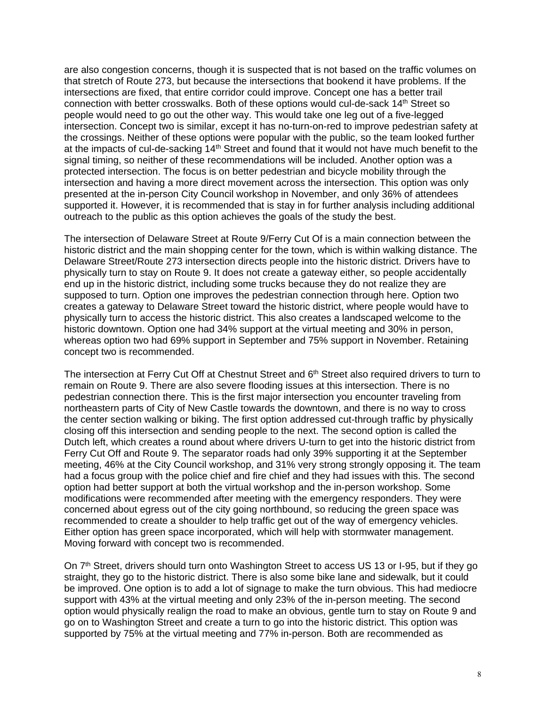are also congestion concerns, though it is suspected that is not based on the traffic volumes on that stretch of Route 273, but because the intersections that bookend it have problems. If the intersections are fixed, that entire corridor could improve. Concept one has a better trail connection with better crosswalks. Both of these options would cul-de-sack 14th Street so people would need to go out the other way. This would take one leg out of a five-legged intersection. Concept two is similar, except it has no-turn-on-red to improve pedestrian safety at the crossings. Neither of these options were popular with the public, so the team looked further at the impacts of cul-de-sacking 14th Street and found that it would not have much benefit to the signal timing, so neither of these recommendations will be included. Another option was a protected intersection. The focus is on better pedestrian and bicycle mobility through the intersection and having a more direct movement across the intersection. This option was only presented at the in-person City Council workshop in November, and only 36% of attendees supported it. However, it is recommended that is stay in for further analysis including additional outreach to the public as this option achieves the goals of the study the best.

The intersection of Delaware Street at Route 9/Ferry Cut Of is a main connection between the historic district and the main shopping center for the town, which is within walking distance. The Delaware Street/Route 273 intersection directs people into the historic district. Drivers have to physically turn to stay on Route 9. It does not create a gateway either, so people accidentally end up in the historic district, including some trucks because they do not realize they are supposed to turn. Option one improves the pedestrian connection through here. Option two creates a gateway to Delaware Street toward the historic district, where people would have to physically turn to access the historic district. This also creates a landscaped welcome to the historic downtown. Option one had 34% support at the virtual meeting and 30% in person, whereas option two had 69% support in September and 75% support in November. Retaining concept two is recommended.

The intersection at Ferry Cut Off at Chestnut Street and 6<sup>th</sup> Street also required drivers to turn to remain on Route 9. There are also severe flooding issues at this intersection. There is no pedestrian connection there. This is the first major intersection you encounter traveling from northeastern parts of City of New Castle towards the downtown, and there is no way to cross the center section walking or biking. The first option addressed cut-through traffic by physically closing off this intersection and sending people to the next. The second option is called the Dutch left, which creates a round about where drivers U-turn to get into the historic district from Ferry Cut Off and Route 9. The separator roads had only 39% supporting it at the September meeting, 46% at the City Council workshop, and 31% very strong strongly opposing it. The team had a focus group with the police chief and fire chief and they had issues with this. The second option had better support at both the virtual workshop and the in-person workshop. Some modifications were recommended after meeting with the emergency responders. They were concerned about egress out of the city going northbound, so reducing the green space was recommended to create a shoulder to help traffic get out of the way of emergency vehicles. Either option has green space incorporated, which will help with stormwater management. Moving forward with concept two is recommended.

On 7<sup>th</sup> Street, drivers should turn onto Washington Street to access US 13 or I-95, but if they go straight, they go to the historic district. There is also some bike lane and sidewalk, but it could be improved. One option is to add a lot of signage to make the turn obvious. This had mediocre support with 43% at the virtual meeting and only 23% of the in-person meeting. The second option would physically realign the road to make an obvious, gentle turn to stay on Route 9 and go on to Washington Street and create a turn to go into the historic district. This option was supported by 75% at the virtual meeting and 77% in-person. Both are recommended as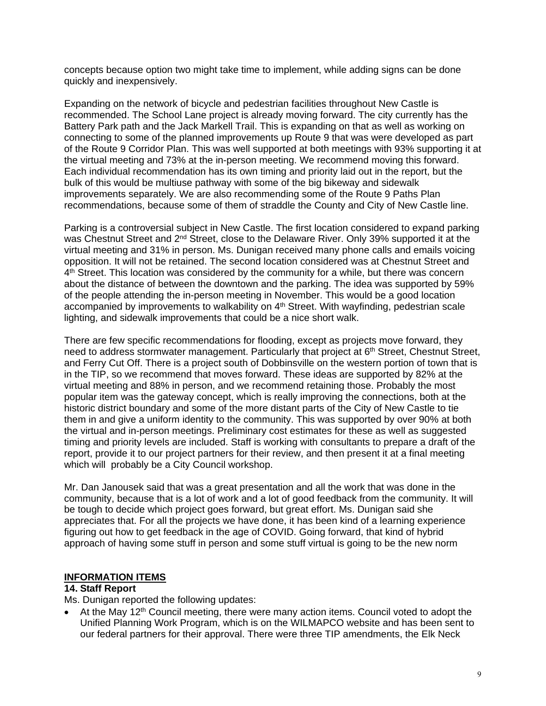concepts because option two might take time to implement, while adding signs can be done quickly and inexpensively.

Expanding on the network of bicycle and pedestrian facilities throughout New Castle is recommended. The School Lane project is already moving forward. The city currently has the Battery Park path and the Jack Markell Trail. This is expanding on that as well as working on connecting to some of the planned improvements up Route 9 that was were developed as part of the Route 9 Corridor Plan. This was well supported at both meetings with 93% supporting it at the virtual meeting and 73% at the in-person meeting. We recommend moving this forward. Each individual recommendation has its own timing and priority laid out in the report, but the bulk of this would be multiuse pathway with some of the big bikeway and sidewalk improvements separately. We are also recommending some of the Route 9 Paths Plan recommendations, because some of them of straddle the County and City of New Castle line.

Parking is a controversial subject in New Castle. The first location considered to expand parking was Chestnut Street and 2<sup>nd</sup> Street, close to the Delaware River. Only 39% supported it at the virtual meeting and 31% in person. Ms. Dunigan received many phone calls and emails voicing opposition. It will not be retained. The second location considered was at Chestnut Street and 4<sup>th</sup> Street. This location was considered by the community for a while, but there was concern about the distance of between the downtown and the parking. The idea was supported by 59% of the people attending the in-person meeting in November. This would be a good location accompanied by improvements to walkability on  $4<sup>th</sup>$  Street. With wayfinding, pedestrian scale lighting, and sidewalk improvements that could be a nice short walk.

There are few specific recommendations for flooding, except as projects move forward, they need to address stormwater management. Particularly that project at 6<sup>th</sup> Street, Chestnut Street, and Ferry Cut Off. There is a project south of Dobbinsville on the western portion of town that is in the TIP, so we recommend that moves forward. These ideas are supported by 82% at the virtual meeting and 88% in person, and we recommend retaining those. Probably the most popular item was the gateway concept, which is really improving the connections, both at the historic district boundary and some of the more distant parts of the City of New Castle to tie them in and give a uniform identity to the community. This was supported by over 90% at both the virtual and in-person meetings. Preliminary cost estimates for these as well as suggested timing and priority levels are included. Staff is working with consultants to prepare a draft of the report, provide it to our project partners for their review, and then present it at a final meeting which will probably be a City Council workshop.

Mr. Dan Janousek said that was a great presentation and all the work that was done in the community, because that is a lot of work and a lot of good feedback from the community. It will be tough to decide which project goes forward, but great effort. Ms. Dunigan said she appreciates that. For all the projects we have done, it has been kind of a learning experience figuring out how to get feedback in the age of COVID. Going forward, that kind of hybrid approach of having some stuff in person and some stuff virtual is going to be the new norm

# **INFORMATION ITEMS**

# **14. Staff Report**

Ms. Dunigan reported the following updates:

At the May 12<sup>th</sup> Council meeting, there were many action items. Council voted to adopt the Unified Planning Work Program, which is on the WILMAPCO website and has been sent to our federal partners for their approval. There were three TIP amendments, the Elk Neck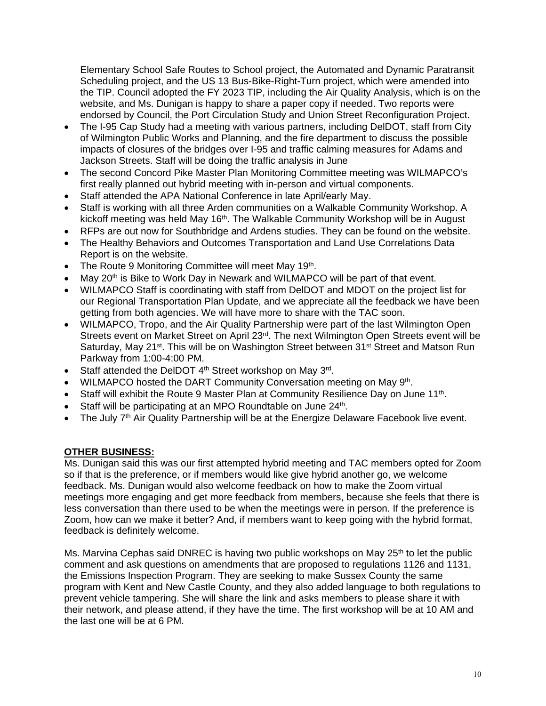Elementary School Safe Routes to School project, the Automated and Dynamic Paratransit Scheduling project, and the US 13 Bus-Bike-Right-Turn project, which were amended into the TIP. Council adopted the FY 2023 TIP, including the Air Quality Analysis, which is on the website, and Ms. Dunigan is happy to share a paper copy if needed. Two reports were endorsed by Council, the Port Circulation Study and Union Street Reconfiguration Project.

- The I-95 Cap Study had a meeting with various partners, including DelDOT, staff from City of Wilmington Public Works and Planning, and the fire department to discuss the possible impacts of closures of the bridges over I-95 and traffic calming measures for Adams and Jackson Streets. Staff will be doing the traffic analysis in June
- The second Concord Pike Master Plan Monitoring Committee meeting was WILMAPCO's first really planned out hybrid meeting with in-person and virtual components.
- Staff attended the APA National Conference in late April/early May.
- Staff is working with all three Arden communities on a Walkable Community Workshop. A kickoff meeting was held May 16<sup>th</sup>. The Walkable Community Workshop will be in August
- RFPs are out now for Southbridge and Ardens studies. They can be found on the website.
- The Healthy Behaviors and Outcomes Transportation and Land Use Correlations Data Report is on the website.
- The Route 9 Monitoring Committee will meet May  $19<sup>th</sup>$ .
- May 20<sup>th</sup> is Bike to Work Day in Newark and WILMAPCO will be part of that event.
- WILMAPCO Staff is coordinating with staff from DelDOT and MDOT on the project list for our Regional Transportation Plan Update, and we appreciate all the feedback we have been getting from both agencies. We will have more to share with the TAC soon.
- WILMAPCO, Tropo, and the Air Quality Partnership were part of the last Wilmington Open Streets event on Market Street on April 23<sup>rd</sup>. The next Wilmington Open Streets event will be Saturday, May 21<sup>st</sup>. This will be on Washington Street between 31<sup>st</sup> Street and Matson Run Parkway from 1:00-4:00 PM.
- Staff attended the DelDOT  $4<sup>th</sup>$  Street workshop on May  $3<sup>rd</sup>$ .
- WILMAPCO hosted the DART Community Conversation meeting on May 9<sup>th</sup>.
- Staff will exhibit the Route 9 Master Plan at Community Resilience Day on June 11<sup>th</sup>.
- Staff will be participating at an MPO Roundtable on June 24<sup>th</sup>.
- The July 7<sup>th</sup> Air Quality Partnership will be at the Energize Delaware Facebook live event.

# **OTHER BUSINESS:**

Ms. Dunigan said this was our first attempted hybrid meeting and TAC members opted for Zoom so if that is the preference, or if members would like give hybrid another go, we welcome feedback. Ms. Dunigan would also welcome feedback on how to make the Zoom virtual meetings more engaging and get more feedback from members, because she feels that there is less conversation than there used to be when the meetings were in person. If the preference is Zoom, how can we make it better? And, if members want to keep going with the hybrid format, feedback is definitely welcome.

Ms. Marvina Cephas said DNREC is having two public workshops on May  $25<sup>th</sup>$  to let the public comment and ask questions on amendments that are proposed to regulations 1126 and 1131, the Emissions Inspection Program. They are seeking to make Sussex County the same program with Kent and New Castle County, and they also added language to both regulations to prevent vehicle tampering. She will share the link and asks members to please share it with their network, and please attend, if they have the time. The first workshop will be at 10 AM and the last one will be at 6 PM.